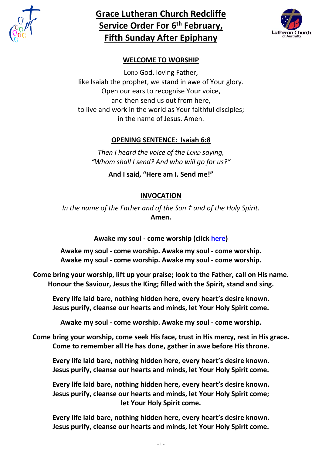

# **Grace Lutheran Church Redcliffe Service Order For 6 th February, Fifth Sunday After Epiphany**



# **WELCOME TO WORSHIP**

LORD God, loving Father, like Isaiah the prophet, we stand in awe of Your glory. Open our ears to recognise Your voice, and then send us out from here, to live and work in the world as Your faithful disciples; in the name of Jesus. Amen.

### **OPENING SENTENCE: Isaiah 6:8**

*Then I heard the voice of the LORD saying, "Whom shall I send? And who will go for us?"*

**And I said, "Here am I. Send me!"**

# **INVOCATION**

*In the name of the Father and of the Son † and of the Holy Spirit.* **Amen.**

# **Awake my soul - come worship (click [here\)](https://www.youtube.com/watch?v=roJjVAZKaUE)**

**Awake my soul - come worship. Awake my soul - come worship. Awake my soul - come worship. Awake my soul - come worship.**

**Come bring your worship, lift up your praise; look to the Father, call on His name. Honour the Saviour, Jesus the King; filled with the Spirit, stand and sing.**

**Every life laid bare, nothing hidden here, every heart's desire known. Jesus purify, cleanse our hearts and minds, let Your Holy Spirit come.**

**Awake my soul - come worship. Awake my soul - come worship.**

**Come bring your worship, come seek His face, trust in His mercy, rest in His grace. Come to remember all He has done, gather in awe before His throne.**

**Every life laid bare, nothing hidden here, every heart's desire known. Jesus purify, cleanse our hearts and minds, let Your Holy Spirit come.**

**Every life laid bare, nothing hidden here, every heart's desire known. Jesus purify, cleanse our hearts and minds, let Your Holy Spirit come; let Your Holy Spirit come.**

**Every life laid bare, nothing hidden here, every heart's desire known. Jesus purify, cleanse our hearts and minds, let Your Holy Spirit come.**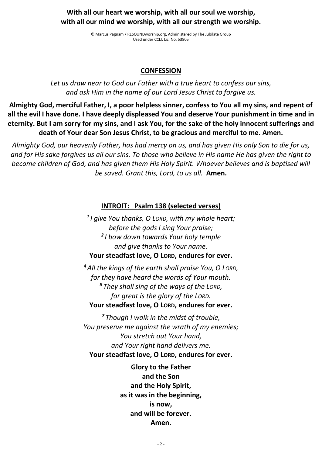### **With all our heart we worship, with all our soul we worship, with all our mind we worship, with all our strength we worship.**

© Marcus Pagnam / RESOUNDworship.org, Administered by The Jubilate Group Used under CCLI. Lic. No. 53805

### **CONFESSION**

*Let us draw near to God our Father with a true heart to confess our sins, and ask Him in the name of our Lord Jesus Christ to forgive us.*

**Almighty God, merciful Father, I, a poor helpless sinner, confess to You all my sins, and repent of all the evil I have done. I have deeply displeased You and deserve Your punishment in time and in eternity. But I am sorry for my sins, and I ask You, for the sake of the holy innocent sufferings and death of Your dear Son Jesus Christ, to be gracious and merciful to me. Amen.**

*Almighty God, our heavenly Father, has had mercy on us, and has given His only Son to die for us, and for His sake forgives us all our sins. To those who believe in His name He has given the right to become children of God, and has given them His Holy Spirit. Whoever believes and is baptised will be saved. Grant this, Lord, to us all.* **Amen.**

### **INTROIT: Psalm 138 (selected verses)**

*1 I give You thanks, O LORD, with my whole heart; before the gods I sing Your praise; 2 I bow down towards Your holy temple and give thanks to Your name.* **Your steadfast love, O LORD, endures for ever.**

*<sup>4</sup> All the kings of the earth shall praise You, O LORD, for they have heard the words of Your mouth. <sup>5</sup> They shall sing of the ways of the LORD, for great is the glory of the LORD.* **Your steadfast love, O LORD, endures for ever.**

*<sup>7</sup> Though I walk in the midst of trouble, You preserve me against the wrath of my enemies; You stretch out Your hand, and Your right hand delivers me.* **Your steadfast love, O LORD, endures for ever.**

> **Glory to the Father and the Son and the Holy Spirit, as it was in the beginning, is now, and will be forever. Amen.**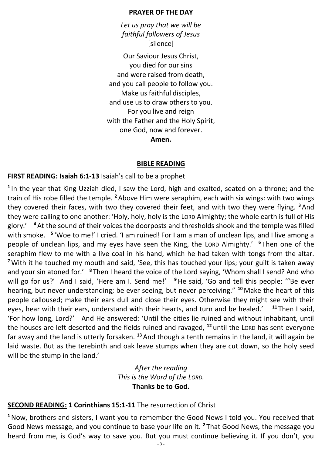#### **PRAYER OF THE DAY**

*Let us pray that we will be faithful followers of Jesus* [silence]

Our Saviour Jesus Christ, you died for our sins and were raised from death, and you call people to follow you. Make us faithful disciples, and use us to draw others to you. For you live and reign with the Father and the Holy Spirit, one God, now and forever.

**Amen.**

#### **BIBLE READING**

#### **FIRST READING: Isaiah 6:1-13** Isaiah's call to be a prophet

**1** In the year that King Uzziah died, I saw the Lord, high and exalted, seated on a throne; and the train of His robe filled the temple. **<sup>2</sup>** Above Him were seraphim, each with six wings: with two wings they covered their faces, with two they covered their feet, and with two they were flying. **<sup>3</sup>**And they were calling to one another: 'Holy, holy, holy is the LORD Almighty; the whole earth is full of His glory.' **<sup>4</sup>** At the sound of their voices the doorposts and thresholds shook and the temple was filled with smoke. <sup>5</sup> 'Woe to me!' I cried. 'I am ruined! For I am a man of unclean lips, and I live among a people of unclean lips, and my eyes have seen the King, the LORD Almighty.' **<sup>6</sup>** Then one of the seraphim flew to me with a live coal in his hand, which he had taken with tongs from the altar. **<sup>7</sup>**With it he touched my mouth and said, 'See, this has touched your lips; your guilt is taken away and your sin atoned for.' **<sup>8</sup>** Then I heard the voice of the Lord saying, 'Whom shall I send? And who will go for us?' And I said, 'Here am I. Send me!' <sup>9</sup>He said, 'Go and tell this people: "Be ever hearing, but never understanding; be ever seeing, but never perceiving." **<sup>10</sup>** Make the heart of this people calloused; make their ears dull and close their eyes. Otherwise they might see with their eyes, hear with their ears, understand with their hearts, and turn and be healed.' **<sup>11</sup>** Then I said, 'For how long, Lord?' And He answered: 'Until the cities lie ruined and without inhabitant, until the houses are left deserted and the fields ruined and ravaged, **<sup>12</sup>** until the LORD has sent everyone far away and the land is utterly forsaken. **<sup>13</sup>** And though a tenth remains in the land, it will again be laid waste. But as the terebinth and oak leave stumps when they are cut down, so the holy seed will be the stump in the land.'

# *After the reading This is the Word of the LORD.* **Thanks be to God.**

# **SECOND READING: 1 Corinthians 15:1-11** The resurrection of Christ

**<sup>1</sup>**Now, brothers and sisters, I want you to remember the Good News I told you. You received that Good News message, and you continue to base your life on it. **<sup>2</sup>** That Good News, the message you heard from me, is God's way to save you. But you must continue believing it. If you don't, you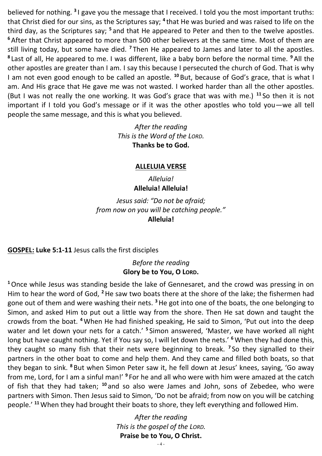believed for nothing. <sup>3</sup>I gave you the message that I received. I told you the most important truths: that Christ died for our sins, as the Scriptures say; <sup>4</sup> that He was buried and was raised to life on the third day, as the Scriptures say; **<sup>5</sup>** and that He appeared to Peter and then to the twelve apostles. **<sup>6</sup>** After that Christ appeared to more than 500 other believers at the same time. Most of them are still living today, but some have died. **<sup>7</sup>** Then He appeared to James and later to all the apostles. **8** Last of all, He appeared to me. I was different, like a baby born before the normal time. **<sup>9</sup>** All the other apostles are greater than I am. I say this because I persecuted the church of God. That is why I am not even good enough to be called an apostle. **<sup>10</sup>** But, because of God's grace, that is what I am. And His grace that He gave me was not wasted. I worked harder than all the other apostles. (But I was not really the one working. It was God's grace that was with me.) **<sup>11</sup>** So then it is not important if I told you God's message or if it was the other apostles who told you—we all tell people the same message, and this is what you believed.

> *After the reading This is the Word of the LORD.* **Thanks be to God.**

#### **ALLELUIA VERSE**

*Alleluia!* **Alleluia! Alleluia!**

*Jesus said: "Do not be afraid; from now on you will be catching people."* **Alleluia!**

**GOSPEL: Luke 5:1-11** Jesus calls the first disciples

*Before the reading* **Glory be to You, O LORD.** 

**<sup>1</sup>**Once while Jesus was standing beside the lake of Gennesaret, and the crowd was pressing in on Him to hear the word of God, **<sup>2</sup>**He saw two boats there at the shore of the lake; the fishermen had gone out of them and were washing their nets. **<sup>3</sup>**He got into one of the boats, the one belonging to Simon, and asked Him to put out a little way from the shore. Then He sat down and taught the crowds from the boat. **<sup>4</sup>**When He had finished speaking, He said to Simon, 'Put out into the deep water and let down your nets for a catch.' **<sup>5</sup>** Simon answered, 'Master, we have worked all night long but have caught nothing. Yet if You say so, I will let down the nets.' **<sup>6</sup>**When they had done this, they caught so many fish that their nets were beginning to break. **<sup>7</sup>** So they signalled to their partners in the other boat to come and help them. And they came and filled both boats, so that they began to sink. **<sup>8</sup>** But when Simon Peter saw it, he fell down at Jesus' knees, saying, 'Go away from me, Lord, for I am a sinful man!' <sup>9</sup> For he and all who were with him were amazed at the catch of fish that they had taken; **<sup>10</sup>** and so also were James and John, sons of Zebedee, who were partners with Simon. Then Jesus said to Simon, 'Do not be afraid; from now on you will be catching people.' **<sup>11</sup>**When they had brought their boats to shore, they left everything and followed Him.

> *After the reading This is the gospel of the LORD.* **Praise be to You, O Christ.**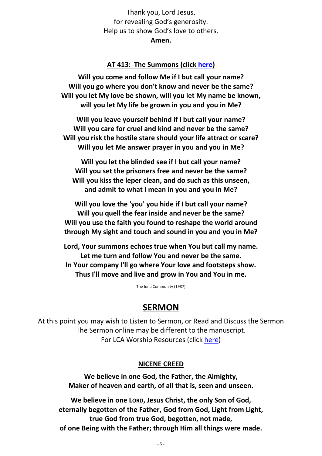Thank you, Lord Jesus, for revealing God's generosity. Help us to show God's love to others. **Amen.**

#### **AT 413: The Summons (click [here\)](https://www.youtube.com/watch?v=uu7ihXeTsMQ)**

**Will you come and follow Me if I but call your name? Will you go where you don't know and never be the same? Will you let My love be shown, will you let My name be known, will you let My life be grown in you and you in Me?**

**Will you leave yourself behind if I but call your name? Will you care for cruel and kind and never be the same? Will you risk the hostile stare should your life attract or scare? Will you let Me answer prayer in you and you in Me?**

**Will you let the blinded see if I but call your name? Will you set the prisoners free and never be the same? Will you kiss the leper clean, and do such as this unseen, and admit to what I mean in you and you in Me?**

**Will you love the 'you' you hide if I but call your name? Will you quell the fear inside and never be the same? Will you use the faith you found to reshape the world around through My sight and touch and sound in you and you in Me?**

**Lord, Your summons echoes true when You but call my name. Let me turn and follow You and never be the same. In Your company I'll go where Your love and footsteps show. Thus I'll move and live and grow in You and You in me.**

The Iona Community (1987)

### **SERMON**

At this point you may wish to Listen to Sermon, or Read and Discuss the Sermon The Sermon online may be different to the manuscript. For LCA Worship Resources (click [here\)](https://qld.lca.org.au/2021/04/01/the-streaming-keeps-flowing/)

#### **NICENE CREED**

**We believe in one God, the Father, the Almighty, Maker of heaven and earth, of all that is, seen and unseen.**

**We believe in one LORD, Jesus Christ, the only Son of God, eternally begotten of the Father, God from God, Light from Light, true God from true God, begotten, not made, of one Being with the Father; through Him all things were made.**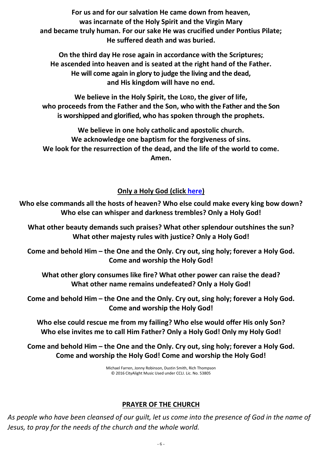**For us and for our salvation He came down from heaven, was incarnate of the Holy Spirit and the Virgin Mary and became truly human. For our sake He was crucified under Pontius Pilate; He suffered death and was buried.**

**On the third day He rose again in accordance with the Scriptures; He ascended into heaven and is seated at the right hand of the Father. He will come again in glory to judge the living and the dead, and His kingdom will have no end.**

**We believe in the Holy Spirit, the LORD, the giver of life, who proceeds from the Father and the Son, who with the Father and the Son is worshipped and glorified, who has spoken through the prophets.**

**We believe in one holy catholic and apostolic church. We acknowledge one baptism for the forgiveness of sins. We look for the resurrection of the dead, and the life of the world to come. Amen.**

# **Only a Holy God (click [here\)](https://www.youtube.com/watch?v=OWsZov9KJ_U)**

**Who else commands all the hosts of heaven? Who else could make every king bow down? Who else can whisper and darkness trembles? Only a Holy God!**

**What other beauty demands such praises? What other splendour outshines the sun? What other majesty rules with justice? Only a Holy God!**

**Come and behold Him – the One and the Only. Cry out, sing holy; forever a Holy God. Come and worship the Holy God!**

**What other glory consumes like fire? What other power can raise the dead? What other name remains undefeated? Only a Holy God!**

**Come and behold Him – the One and the Only. Cry out, sing holy; forever a Holy God. Come and worship the Holy God!**

**Who else could rescue me from my failing? Who else would offer His only Son? Who else invites me to call Him Father? Only a Holy God! Only my Holy God!**

**Come and behold Him – the One and the Only. Cry out, sing holy; forever a Holy God. Come and worship the Holy God! Come and worship the Holy God!**

> Michael Farren, Jonny Robinson, Dustin Smith, Rich Thompson © 2016 CityAlight Music Used under CCLI. Lic. No. 53805

### **PRAYER OF THE CHURCH**

*As people who have been cleansed of our guilt, let us come into the presence of God in the name of Jesus, to pray for the needs of the church and the whole world.*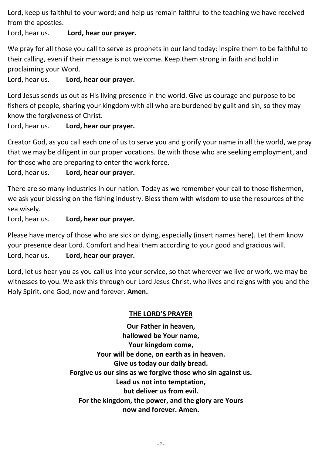Lord, keep us faithful to your word; and help us remain faithful to the teaching we have received from the apostles.

Lord, hear us. **Lord, hear our prayer.**

We pray for all those you call to serve as prophets in our land today: inspire them to be faithful to their calling, even if their message is not welcome. Keep them strong in faith and bold in proclaiming your Word.

Lord, hear us. **Lord, hear our prayer.**

Lord Jesus sends us out as His living presence in the world. Give us courage and purpose to be fishers of people, sharing your kingdom with all who are burdened by guilt and sin, so they may know the forgiveness of Christ.

Lord, hear us. **Lord, hear our prayer.**

Creator God, as you call each one of us to serve you and glorify your name in all the world, we pray that we may be diligent in our proper vocations. Be with those who are seeking employment, and for those who are preparing to enter the work force.

Lord, hear us. **Lord, hear our prayer.**

There are so many industries in our nation. Today as we remember your call to those fishermen, we ask your blessing on the fishing industry. Bless them with wisdom to use the resources of the sea wisely.

Lord, hear us. **Lord, hear our prayer.**

Please have mercy of those who are sick or dying, especially (insert names here). Let them know your presence dear Lord. Comfort and heal them according to your good and gracious will. Lord, hear us. **Lord, hear our prayer.**

Lord, let us hear you as you call us into your service, so that wherever we live or work, we may be witnesses to you. We ask this through our Lord Jesus Christ, who lives and reigns with you and the Holy Spirit, one God, now and forever. **Amen.**

# **THE LORD'S PRAYER**

**Our Father in heaven, hallowed be Your name, Your kingdom come, Your will be done, on earth as in heaven. Give us today our daily bread. Forgive us our sins as we forgive those who sin against us. Lead us not into temptation, but deliver us from evil. For the kingdom, the power, and the glory are Yours now and forever. Amen.**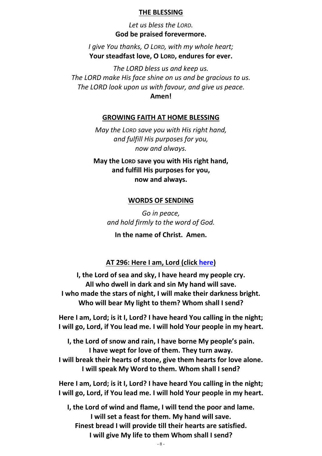#### **THE BLESSING**

*Let us bless the LORD.* **God be praised forevermore.**

*I give You thanks, O LORD, with my whole heart;* **Your steadfast love, O LORD, endures for ever.**

*The LORD bless us and keep us. The LORD make His face shine on us and be gracious to us. The LORD look upon us with favour, and give us peace.* **Amen!**

#### **GROWING FAITH AT HOME BLESSING**

*May the LORD save you with His right hand, and fulfill His purposes for you, now and always.*

**May the LORD save you with His right hand, and fulfill His purposes for you, now and always.**

#### **WORDS OF SENDING**

*Go in peace, and hold firmly to the word of God.* **In the name of Christ. Amen.**

# **AT 296: Here I am, Lord (click [here\)](https://www.youtube.com/watch?v=2zr9SMm1glI)**

**I, the Lord of sea and sky, I have heard my people cry. All who dwell in dark and sin My hand will save. I who made the stars of night, I will make their darkness bright. Who will bear My light to them? Whom shall I send?**

**Here I am, Lord; is it I, Lord? I have heard You calling in the night; I will go, Lord, if You lead me. I will hold Your people in my heart.**

**I, the Lord of snow and rain, I have borne My people's pain. I have wept for love of them. They turn away. I will break their hearts of stone, give them hearts for love alone. I will speak My Word to them. Whom shall I send?**

**Here I am, Lord; is it I, Lord? I have heard You calling in the night; I will go, Lord, if You lead me. I will hold Your people in my heart.**

**I, the Lord of wind and flame, I will tend the poor and lame. I will set a feast for them. My hand will save. Finest bread I will provide till their hearts are satisfied. I will give My life to them Whom shall I send?**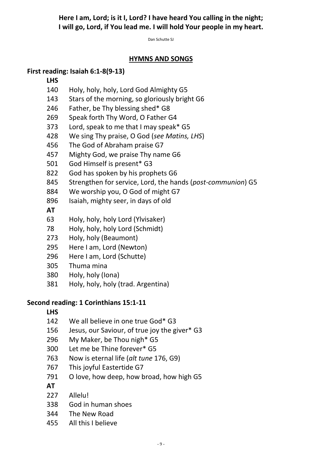# **Here I am, Lord; is it I, Lord? I have heard You calling in the night; I will go, Lord, if You lead me. I will hold Your people in my heart.**

Dan Schutte SJ

### **HYMNS AND SONGS**

### **First reading: Isaiah 6:1-8(9-13)**

#### **LHS**

- Holy, holy, holy, Lord God Almighty G5
- Stars of the morning, so gloriously bright G6
- Father, be Thy blessing shed\* G8
- Speak forth Thy Word, O Father G4
- Lord, speak to me that I may speak\* G5
- We sing Thy praise, O God (*see Matins, LHS*)
- The God of Abraham praise G7
- Mighty God, we praise Thy name G6
- God Himself is present\* G3
- God has spoken by his prophets G6
- Strengthen for service, Lord, the hands (*post-communion*) G5
- We worship you, O God of might G7
- Isaiah, mighty seer, in days of old
- **AT**
- Holy, holy, holy Lord (Ylvisaker)
- Holy, holy, holy Lord (Schmidt)
- Holy, holy (Beaumont)
- Here I am, Lord (Newton)
- Here I am, Lord (Schutte)
- Thuma mina
- Holy, holy (Iona)
- Holy, holy, holy (trad. Argentina)

# **Second reading: 1 Corinthians 15:1-11**

### **LHS**

- We all believe in one true God\* G3
- Jesus, our Saviour, of true joy the giver\* G3
- My Maker, be Thou nigh\* G5
- Let me be Thine forever\* G5
- Now is eternal life (*alt tune* 176, G9)
- This joyful Eastertide G7
- 791 O love, how deep, how broad, how high G5
- **AT**
- Allelu!
- God in human shoes
- The New Road
- All this I believe